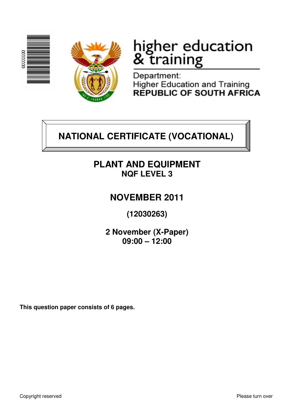



# higher education<br>& training

Department: **Higher Education and Training** REPUBLIC OF SOUTH AFRICA

# **NATIONAL CERTIFICATE (VOCATIONAL)**

# **PLANT AND EQUIPMENT NQF LEVEL 3**

# **NOVEMBER 2011**

**(12030263)** 

**2 November (X-Paper) 09:00 – 12:00**

**This question paper consists of 6 pages.**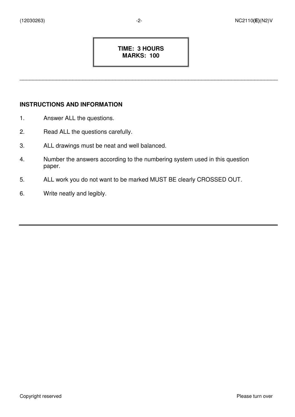#### **TIME: 3 HOURS MARKS: 100**

\_\_\_\_\_\_\_\_\_\_\_\_\_\_\_\_\_\_\_\_\_\_\_\_\_\_\_\_\_\_\_\_\_\_\_\_\_\_\_\_\_\_\_\_\_\_\_\_\_\_\_\_\_\_\_\_\_\_\_\_\_\_\_\_\_\_\_\_\_\_\_\_\_\_\_\_\_\_

#### **INSTRUCTIONS AND INFORMATION**

- 1. Answer ALL the questions.
- 2. Read ALL the questions carefully.
- 3. ALL drawings must be neat and well balanced.
- 4. Number the answers according to the numbering system used in this question paper.
- 5. ALL work you do not want to be marked MUST BE clearly CROSSED OUT.
- 6. Write neatly and legibly.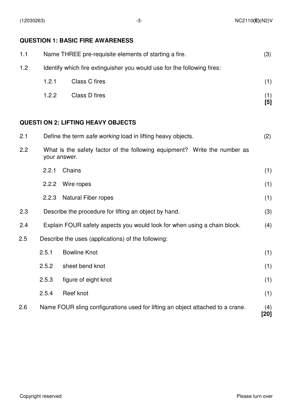## **QUESTION 1: BASIC FIRE AWARENESS**

| 1.1                                                                                              | Name THREE pre-requisite elements of starting a fire.                   |                                                                                |              |  |
|--------------------------------------------------------------------------------------------------|-------------------------------------------------------------------------|--------------------------------------------------------------------------------|--------------|--|
| 1.2                                                                                              | Identify which fire extinguisher you would use for the following fires: |                                                                                |              |  |
|                                                                                                  | 1.2.1                                                                   | <b>Class C fires</b>                                                           | (1)          |  |
|                                                                                                  | 1.2.2                                                                   | Class D fires                                                                  | (1)<br>$[5]$ |  |
|                                                                                                  |                                                                         | <b>QUESTI ON 2: LIFTING HEAVY OBJECTS</b>                                      |              |  |
| 2.1                                                                                              | Define the term safe working load in lifting heavy objects.<br>(2)      |                                                                                |              |  |
| 2.2<br>What is the safety factor of the following equipment? Write the number as<br>your answer. |                                                                         |                                                                                |              |  |
|                                                                                                  | 2.2.1                                                                   | Chains                                                                         | (1)          |  |
|                                                                                                  | 2.2.2                                                                   | Wire ropes                                                                     | (1)          |  |
|                                                                                                  | 2.2.3                                                                   | <b>Natural Fiber ropes</b>                                                     | (1)          |  |
| 2.3                                                                                              |                                                                         | Describe the procedure for lifting an object by hand.                          | (3)          |  |
| 2.4                                                                                              |                                                                         | Explain FOUR safety aspects you would look for when using a chain block.       | (4)          |  |
| 2.5                                                                                              |                                                                         | Describe the uses (applications) of the following:                             |              |  |
|                                                                                                  | 2.5.1                                                                   | <b>Bowline Knot</b>                                                            | (1)          |  |
|                                                                                                  | 2.5.2                                                                   | sheet bend knot                                                                | (1)          |  |
|                                                                                                  | 2.5.3                                                                   | figure of eight knot                                                           | (1)          |  |
|                                                                                                  | 2.5.4                                                                   | Reef knot                                                                      | (1)          |  |
| 2.6                                                                                              |                                                                         | Name FOUR sling configurations used for lifting an object attached to a crane. | (4)<br>[20]  |  |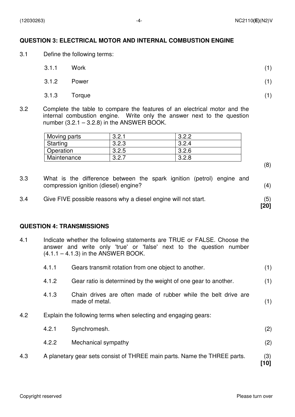#### **QUESTION 3: ELECTRICAL MOTOR AND INTERNAL COMBUSTION ENGINE**

3.1 Define the following terms:

| 3.1.1        | Work  | (1) |
|--------------|-------|-----|
| 3.1.2        | Power | (1) |
| 3.1.3 Torque |       | (1) |

3.2 Complete the table to compare the features of an electrical motor and the internal combustion engine. Write only the answer next to the question number  $(3.2.1 - 3.2.8)$  in the ANSWER BOOK.

| Moving parts | ? ?    | ר ר כ |
|--------------|--------|-------|
| Starting     | 3.2.3  | 3.2.4 |
| Operation    | 3.2.5  | 3.2.6 |
| Maintenance  | ഠ<br>n | ּ מי  |

(8)

**[20]**

- 3.3 What is the difference between the spark ignition (petrol) engine and compression ignition (diesel) engine? (4)
- 3.4 Give FIVE possible reasons why a diesel engine will not start. (5)

#### **QUESTION 4: TRANSMISSIONS**

4.1 Indicate whether the following statements are TRUE or FALSE. Choose the answer and write only 'true' or 'false' next to the question number  $(4.1.1 - 4.1.3)$  in the ANSWER BOOK.

|     | 4.1.1 | Gears transmit rotation from one object to another.                              | (1)         |
|-----|-------|----------------------------------------------------------------------------------|-------------|
|     | 4.1.2 | Gear ratio is determined by the weight of one gear to another.                   | (1)         |
|     | 4.1.3 | Chain drives are often made of rubber while the belt drive are<br>made of metal. | (1)         |
| 4.2 |       | Explain the following terms when selecting and engaging gears:                   |             |
|     | 4.2.1 | Synchromesh.                                                                     | (2)         |
|     | 4.2.2 | Mechanical sympathy                                                              | (2)         |
| 4.3 |       | A planetary gear sets consist of THREE main parts. Name the THREE parts.         | (3)<br>[10] |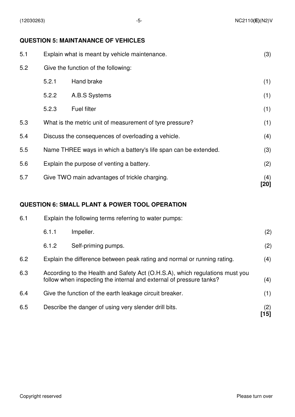#### **QUESTION 5: MAINTANANCE OF VEHICLES**

| 5.1 | Explain what is meant by vehicle maintenance.                   |                                                          | (3)         |
|-----|-----------------------------------------------------------------|----------------------------------------------------------|-------------|
| 5.2 | Give the function of the following:                             |                                                          |             |
|     | 5.2.1                                                           | Hand brake                                               | (1)         |
|     | 5.2.2                                                           | A.B.S Systems                                            | (1)         |
|     | 5.2.3                                                           | <b>Fuel filter</b>                                       | (1)         |
| 5.3 |                                                                 | What is the metric unit of measurement of tyre pressure? | (1)         |
| 5.4 |                                                                 | Discuss the consequences of overloading a vehicle.       | (4)         |
| 5.5 | Name THREE ways in which a battery's life span can be extended. |                                                          | (3)         |
| 5.6 | Explain the purpose of venting a battery.                       |                                                          | (2)         |
| 5.7 |                                                                 | Give TWO main advantages of trickle charging.            | (4)<br>[20] |

### **QUESTION 6: SMALL PLANT & POWER TOOL OPERATION**

| 6.1 | Explain the following terms referring to water pumps:   |                                                                                                                                                     |             |  |
|-----|---------------------------------------------------------|-----------------------------------------------------------------------------------------------------------------------------------------------------|-------------|--|
|     | 6.1.1                                                   | Impeller.                                                                                                                                           | (2)         |  |
|     | 6.1.2                                                   | Self-priming pumps.                                                                                                                                 | (2)         |  |
| 6.2 |                                                         | Explain the difference between peak rating and normal or running rating.                                                                            | (4)         |  |
| 6.3 |                                                         | According to the Health and Safety Act (O.H.S.A), which regulations must you<br>follow when inspecting the internal and external of pressure tanks? | (4)         |  |
| 6.4 | Give the function of the earth leakage circuit breaker. |                                                                                                                                                     | (1)         |  |
| 6.5 |                                                         | Describe the danger of using very slender drill bits.                                                                                               | (2)<br>[15] |  |